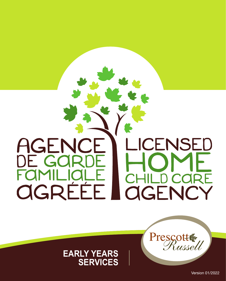## AGENCE ENSED  $\mid$  IC DE GOF FAMILIA  $\mathsf{C}\mathsf{H}$ D CARE OGRÉÉE **AGENCY**

## **EARLY YEARS SERVICES**

**Presgott** 

Russell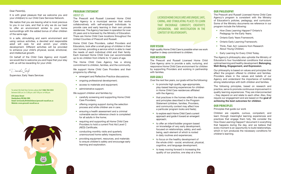#### Dear Parent(s),

It is with great pleasure that we welcome you and your child(ren) to our Child Care Services Network.

We realize that you are leaving what is most precious to you in our care, and that is why we do our best to offer an environment similar to your home surroundings with the added bonus of other children of the same age.

In a safe, stimulating and warm environment and using various activities, a devoted and responsible adult will care for and enrich your child's development. Different activities will be provided to enhance your child's physical, social, emotional, and intellectual growth.

On behalf of the Child Care Agency and myself, we would like to welcome you and hope that your stay with us will be rewarding for your child.

Danika Joly

Supervisor, Early Years Services

To contact the Early Years Services, please dial **1-866-764-3434** between 8:00 a.m. to 12:00 p.m. and 1:00 p.m. to 4:00 p.m.

**876 James Street Hawkesbury ON K6A 2W8 Email: ServicesALaPetiteEnfance@prescott-russell.on.ca Website: www.prescott-russell.on.ca**

 $rac{\bullet}{\geqslant}$ 

#### **PROGRAM STATEMENT** ABOUT US

The Prescott and Russell Licensed Home Child Care Agency is a municipal service that works collaboratively with self-employed individuals to provide care and early learning in their own private residences. The Agency has been in operation for over 25 years and is licensed by the Ministry of Education. There are Home Child Care locations throughout the United Counties of Prescott and Russell.

Home Child Care Providers, called Providers and Educators, look after a small group of children in their own homes, providing a service which is able to meet the needs of each individual child and their family. Each licensed Home Child Care can accommodate up to six children from infants to 12 years of age.

The Home Child Care Agency has a strong commitment to children, families, and the community.

We support Home Child Care Providers and their programs by offering:

- emergent and Reflective Practice discussions;
- ongoing professional development;
- access to materials and equipment;
- administrative support.

We support children and families by:

- carefully screening and supporting Home Child Care Providers;
- offering ongoing support during the selection process and while children are in care;
- ensuring a health assessment and a criminal vulnerable sector reference check is completed for all adults in the home;
- requiring and supporting all Home Child Care Providers to hold a current First Aid Level C (AED) Certificate;
- conducting monthly visits and quarterly unannounced home safety inspections;
- providing equipment, resources, and materials to ensure children's safety and encourage early learning and exploration.

LICENSED HOME CHILD CARES ARE UNIQUE, SAFE, CARING, AND STIMULATING PLACES TO LEARN THAT ENCOURAGE CURIOSITY, CREATIVITY, EXPLORATION, AND INVESTIGATION IN THE CONTEXT OF RELATIONSHIPS.

#### **OUR VISION**

High-quality Home Child Care is possible when we work together in deep commitment to children.

#### **OUR MISSION**

The Prescott and Russell Licensed Home Child Care Agency aims to provide a safe, nurturing, and responsive Home Child Care environment for children by supporting Providers and working in partnership with families.

#### **OUR GOALS**

Over the next few years, our goals will be the following:

- to promote high quality, age-appropriate, play-based learning experiences for children in Home Child Care residences affiliated with the Agency;
- that practices in the homes reflect the vision and principles described in the Program Statement (children, families, Providers, and community context may affect how a particular program looks and feels);
- to explore each Home Child Care's current approach and guide it toward an emergent approach;
- to offer an infant/toddler program based on knowledge of very early development, focused on relationships, safety, and wellbeing, each element of which is rooted in daily routines and experiences;
- to focus on the healthy development of the whole child – social, emotional, physical, cognitive, and language development;
- to keep moving forward in increasing the quality of our practice, one step at a time.

#### **OUR PHILOSOPHY**

The Prescott and Russell Licensed Home Child Care Agency's program is consistent with the Ministry of Education's policies, pedagogy, and curriculum. Some of the Ministry documents we reference in our program include the following:

- *How Does Learning Happen?* Ontario's Pedagogy for the Early Years;
- Ontario Early Years Framework;
- Ontario Early Learning Framework;
- Think, Feel, Act: Lessons from Research About Young Children;
- Early Learning for Every Child Today.

The Agency's philosophy also upholds the Ministry of Education's four foundational conditions that ensure optimal learning and healthy development: Belonging, Well-Being, Engagement, and Expression.

Our philosophy is based on values and principles that affect the program offered to children and families. Providers share in the values and beliefs of our Agency and understand the importance of building strong relationships with both children and families.

The following principles, based on research and practice, serve to promote continuous improvement in quality learning experiences. They are interconnected – they depend on and relate to each other. Also, they require our engagement and are based on the goal of achieving the best outcomes for children.

#### **OUR PRINCIPLES**

Principles that guide our work

Children are capable, curious, competent, and learn through meaningful learning experiences and practices that engage them fully. We consider the How Does Learning Happen? document in everything that happens during the day, and we believe that every moment is an opportunity to build relationships, which in turn produces the necessary conditions for children's learning.

2  $\vert$  3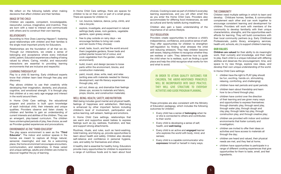We reflect on the following beliefs when making decisions that affect children and their families:

#### IMAGE OF THE CHILD

Children are capable, competent, knowledgeable, resourceful, curious, imaginative, and inventive. They are born with a need to interact and communicate with others and to construct their own learning.

#### RELATIONSHIPS

According to *How Does Learning Happen?,* fostering good relationships with children and their families is the single most important priority for Educators.

Relationships are the foundation of all that we do. Through our interactions, we create a sense of belonging and acceptance where every individual (child, parent, Educator) experiences a feeling of being valued by others. Caring, mindful, and resourceful interactions are essential to providing learning environments that are inclusive and respectful.

#### LEARNING THROUGH PLAY

Play to a child IS learning. Early childhood experts know that children learn best through free play and discovery.

Play allows children to use their creativity while developing their imagination, dexterity, and physical, cognitive, and emotional strength. It is through play that children at a very early age engage and interact in the world around them.

In Home Child Care settings, the educational program and practice is built upon knowledge of each individual child, their interests and unique qualities. Providers observe and listen closely to children and families to gain an understanding of current interests and abilities of the children. They use an emergent, play-based curriculum. The children have uninterrupted periods of play, free choice, as well as Provider-guided experiences and provocations.

#### ENVIRONMENT AS THE "THIRD EDUCATOR"

The play space environment is seen as the "Third Educator". The indoor and outdoor spaces in the homes are meant to capture all things natural, sensorial, meaningful, and real. As a welcoming place, the home environment encourages encounters, communication, and relationships. In these varied and unique settings, adults and children are invited to discover together the joy of learning.

In Home Child Care settings, there are spaces for children to be on their own or part of a small group. There are spaces for children to:

- run, bounce, balance, dance, jump, climb, and ride a bicycle;
- explore, investigate, and experiment in natural settings (leafy areas, rock gardens, vegetable gardens, open grassy areas);
- free to play outside on rainy days  $-$  we encourage families to bring rain coats and rain boots if they choose);
- smell, taste, touch, and feel the world around them (vegetable gardens, flower beds and potted planter boxes full of colour, and cook vegetables from the garden, natural environment);
- build, invent, and design (access to loose parts within the environment, blocks, and construction materials);
- paint, mould, draw, write, read, and relax (writing area with materials needed for literacy development, real-life literacy experiences through play, art);
- act out, dress up, and dramatize their feelings (dress ups, access to materials and fabric, props, blocks, and construction materials).

#### WELL-BEING: HEALTH, SAFETY, AND NUTRITION

Well-being includes good mental and physical health, feelings of happiness and satisfaction. Well-being is enhanced by other important factors including children's level of involvement, participation and active learning, self-esteem, feelings and emotions.

In Home Child Care settings, relationships that are warm and supportive assist babies to express feelings such as joy, sadness, frustration, and fear, and support strong attachments.

Routines, rituals, and rules, such as hand-washing, toilet training, and tidying up, provide opportunities to learn about health and safety. Children also develop self-reliance and confidence in personal hygiene, care, and safety for themselves and others.

A healthy diet is essential for healthy living. Educators provide many opportunities for children to experience a range of nutritious foods and to learn about food choices. Cooking is seen as part of children's everyday learning experiences, and you will often smell this as you enter the Home Child Care. Providers also accommodate for differing food intolerances, as well as cultural and family beliefs during mealtimes.

Children also gain a basic understanding of the importance of an active lifestyle.

#### SELF REGULATION

Providers create opportunities to enhance a child's independence, confidence, and positive sense of self. They offer opportunities for children to strengthen self-regulation by finding what stresses the child and reducing stressors. They help children become self-aware, helping children to recognize whether they are restless or calm. They determine how to guide the child when he is restless, such as finding a quiet place and help the child recognize what works for him and what to avoid.

IN ORDER TO ATTAIN QUALITY OUTCOMES FOR CHILDREN, THE ABOVE-MENTIONED PRINCIPLES WILL BE INCORPORATED INTO DAILY PRACTICE. THEY WILL GIVE STRUCTURE TO EVERYDAY ACTIVITIES AND GUIDE PROGRAM PLANNING.

These principles are also consistent with the Ministry of Education pedagogy, which includes the following outcomes for children:

- Every child has a sense of **belonging** when he or she is connected to others and contributes to their world;
- Every child is developing a sense of self, health, and well-being;
- Every child is an active and engaged learner who explores the world with body, mind, and senses;
- Every child is a capable communicator who expresses himself or herself in many ways.

#### THE COMMUNITY

Children need multiple settings in which to learn and develop. Childcare homes, families, & communities complement each other and can work together to encourage consistent learning and development for children. Providers will work with members of the community to develop familiarity with their unique characteristics, strengths, and the opportunities each affords for learning. They will build connections with their local community partners (e.g. Early Childhood Professionals, public library, emergency services, health unit, schools, etc.) to support children's learning.

#### **OUR VALUES**

Children are valued for their ability to do meaningful work, their curiosity and knowledge, and their need to play. Each child is a unique individual with differing abilities and deserves the encouragement, time, and space to try new things, explore new ideas, and develop their own unique understanding of the world.

In Home Child Care settings:

- children have the right to PLAY (play should be fun, exciting, hands-on, stimulating, relaxing, comforting, and challenging);
- children have rest periods and quiet periods;
- children learn about friendship and learn how to be a friend through play;
- children have control over the direction of their learning and are given many ways and opportunities to express themselves: through dramatic play, through sand play, through water play, through dough and clay play, through table top play, through construction play, and through creative play;
- children are provided with indoor and outdoor environments that foster curiosity and investigation;
- children are invited to offer their ideas on activities and have access to materials all through the day;
- children are heard and valued, their physical needs are met, and they feel at home;
- children have opportunities to participate in a range of different cooking experiences that give opportunities for them to taste, smell, and feel ingredients.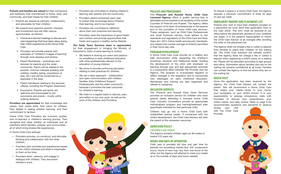Parents and families are valued for their connexions and traditions, their commitment to home, work, and community, and their hopes for their children.

- Parents are viewed as partners, collaborators, and advocates for their children;
- We support and welcome parents' interests and involvement and will offer various opportunities, as follows:
	- Formal and informal meetings to discuss and view happenings that have taken place during their child's experiences at the Home Child Care;
	- Providers will provide parents with examples of "children's images of learning" through work displays and photos;
	- Parent Workshops workshops and lectures for parents and the wider community. Topics will be related to the parents' common interests (reading with children, healthy eating, importance of play, etc.) and will be conducted by a specialist in the area;
	- Parent Handbook relating to the services offered, including the Program Statement;
	- Excursions: Parents and family are welcome and encouraged to join excursions and events – mostly within walking distance.

Providers are appreciated for their knowledge and values, their varied skills, their vision for children, their delight in seeing children learning, and their commitment to families.

Home Child Care Providers are nurturers, guides, and co-learners in children's learning journey. They recognize and value children as individuals and as members within families, cultures, and communities – all of which bring diverse life experiences.

In Home Child Care settings:

- Providers provoke, co-construct, and stimulate thinking and collaboration with the other children;
- Providers plan activities and experiences based on the child's interests and what is meaningful to them at the time;
- Providers listen, observe, and engage in dialogue with children. They document children's work;
- Providers are committed to sharing children's learning with parents and the community;
- Providers attend workshops each year to further their knowledge about Children, their learning, and to be inspired;
- Providers are committed to reflection about their own practices and learning;
- Providers value the importance of good health and nutrition and provide opportunities that foster and support a healthy, active lifestyle.

Our Early Years Services team is appreciated for their engagement in bringing the Ministry of Education's vision of early learning to fruition:

- We believe in sharing our vision and passion for excellence in early childhood education with other professionals relevant to the education of young children;
- We strive to provide continuing education relating to best practices for children;
- We use a team approach collaboration and open communication with children, families, Early Childhood Support Professionals, and the wider community – because it promotes the best outcomes for children's learning;
- We meet on a regular basis to discuss, plan, and reflect on our own work, as well as the work of the children and Providers;

#### **POLICIES AND PROCEDURES**

The Prescott and Russell Home Child Care Licensed Agency offers a quality service that is affordable and accessible to all residents of the United Counties of Prescott and Russell. The Agency offers the support of its team of professionals to the parents and to the providers of home child care services. These caregivers, such as Child Care Professionals and small business owners, must adhere to the standards and regulations of the *Child Care and Early Years Act, 2014*, follow health and security standards, and respect the number and age of children permitted in their home day care.

#### **PROGRAM DEVELOPMENT**

A Home Child Care must provide for a healthy and safe environment while respecting the children's emotional, physical, and intellectual needs. Guiding the development of the child with emphasis on learning through play and age appropriate activities is a cooperative effort between the Provider and the Agency. The program is re-evaluated regularly to reflect changes in the regulation and to incorporate new ideologies on early childhood education. Workshops and training are also organized and offered to caregivers.

#### **INCLUSION SERVICES**

The Prescott and Russell Early Years Services provides an Inclusion service for children who have special needs attending a licensed Home Child Care. Inclusion Counsellors provide an appropriate individualized program and training/treatment plan specifically intended for that particular child.

Children may go into a Home Child Care with unidentified special needs. If concerned with the child's development, the Child Care Advisor will refer the parent to the necessary resources.

### **ADMISSION POLICY**

#### CHILDREN'S AGE GROUP

The Agency accepts children ages six (6) weeks to twelve (12) years old.

#### **HOURS AND DAYS OF OPERATION**

Child care is provided full time and part time for periods not exceeding twenty-four (24) consecutive hours. Hours of care may vary from one home to the other, but the Agency will attempt to meet your needs as to the number of days and hours needed.

To ensure a space in a Home Child Care, the Agency requires a minimum commitment of three (3) days of care per week.

#### **ENROLMENT INQUIRY AND PLACEMENT LIST**

Parents who wish to have their child(ren) enrolled on a placement list must send their application form to the main office. This form must be received at our office before the placement process of your child(ren) can begin. It is the parent's responsibility to inform the Child Care Advisor of all changes after enrolling the child on the placement list.

The Agency shall not charge a fee or collect a deposit from families to place their children on the waiting list. The Child Care Advisors will verbally confirm that the Agency does not charge a fee or collect a deposit when registering a child's name on a waiting list. Places will be allocated according to age groups and ratios. Information about families who are on the waiting list remains confidential at all times. Families can contact the Agency to find out where they are on the waiting list.

#### **MATCH VISIT**

Provider.

Once the application has been received by the Agency, the Child Care Advisor will contact the parent. She will recommend a Home Child Care that meets your needs—close to your home, your workplace, or your child's school. It is your responsibility to arrange introductory visits with Providers to discuss your expectations, your child's habits, and daily routine. Refer to page 9 for recommended questions and elements to observe

during your visit with the Child Care

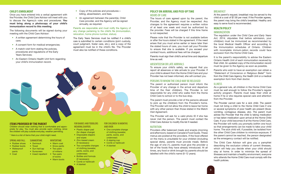#### **CHILD'S ENROLMENT**

Once you have entered into a verbal agreement with the Provider, the Child Care Advisor will meet with you to discuss the Agency's rules and procedures. You must bring along a photocopy of your child's immunization record to this meeting.

The following documents will be signed during your meeting with the Child Care Advisor:

- A written agreement determining the hours of care;
- A consent form for medical emergencies;
- A match-visit form stating the policies, procedures and regulations of the Early Years Services;
- An Eastern Ontario Health Unit form regarding your child's immunization record.

#### • Copy of the policies and proceduresbilling, absenteeism, and fees.

• An agreement between the parent(s), Child Care provider, and the Agency will be signed annually, as required.

Parents are responsible and must notify the Agency of any change pertaining to the child's file (immunization, relocation, home phone number, status).

The Early Years Services must be notified if a child's care is submitted to certain conditions (joint custody, court judgment, foster care, etc.), and a copy of the agreement must be in the child's file. The Provider must also be notified of these conditions.



#### **ITEMS PROVIDED BY THE PARENT**

Children should wear clothing that is comfortable and appropriate for play. You must also provide warm clothing, since the children will play outside everyday, weather permitting.

\* Here is a list of items that your child might need.

**SUMMERTIME** 

- SPRING AND FALL
- Rubber shoes • Swimsuit
- Rubber boots • Towel
- Waterproof • Sun hat/cap • Sunscreen
- pants • Coat
- Insect repellent Two pairs
	- of socks • Warm boots

**WINTERTIME** • Warm coat • Snow pants • Two pairs of mittens

- FOR BABIES AND TODDLERS WEARING DIAPERS FOR CHILDREN 18 MONTHS AND OVER
- Plastic diaper pad (for diaper change)
- Disposable diapers and wipes
- Zinc-based cream (if necessary)
- underwear)
- (if necessary)
- A blanket

#### **POLICY ON ARRIVAL AND PICK-UP TIME** HOURS OF CARE

The hours of care agreed upon by the parent, the Provider, and the Agency must be respected. Any changes to the agreement requires a written notice of at least one week and must be authorized by the provider. Fees will be charged if this time frame is not respected.

Please note that the Provider is not available before or after the hours stated in the agreement. If the need arises that you must arrive earlier or leave later than the stated hours of care, you must call your Provider to ensure that she is available. If you exceed your contract hours, additional fees will be charged.

Parents must sign their child's arrival time and departure time as well.

#### ABSENTEEISM OR LATE ARRIVALS

To ensure your child's safety, we request that you report all absences or late arrivals to your Provider. If your child is absent from the Home Child Care and your Provider has not been informed, she will contact you.

#### PERSONS TO WHOM THE CHILD MAY BE RELEASED

The parent or authorized person must inform the Provider of any change in the arrival and departure time of the their child(ren). The Provider is not responsible for any child who walks from the Home Child Care to school or to the bus stop.

The parent must provide a list of the persons allowed to pick up the child(ren) from the Provider's home. The Provider will not allow the child to leave her home with any other person than those stated in the Match Visit Agreement.

The Provider will ask for a valid photo ID if she has never met the person. The parent must contact the Child Care Advisor to modify this list if needed.

#### NUTRITION

Providers offer balanced meals and snacks (morning and afternoon), based on Canada's Food Guide. These menus are posted at the providers. If the food offered on the menu is unsuitable for your children (including special diets), parents must provide meals. Before the age of one (1), parents must give the provider a list of the foods they have already introduced. At all times, any food or drink brought by parents should be labelled with the child's name (0-12 years).

#### **BREAKFAST**

At the parent's request, breakfast may be served to the child at a cost of \$7.00 per meal. If the Provider agrees, the parent may bring the child's breakfast. Healthy and easy to serve food is recommended.

## **HEALTH POLICY**

#### IMMUNIZATION

The regulation under the *Child Care and Early Years Act, 2014,* stipulates that before admission, your child(ren) must be immunized as recommended by the local Medical Health Officer and according to the Immunization schedules of Ontario. Children with incomplete immuni-zation records could face exclusion from the Home Child Care.

It is the parent's responsibility to advise the Eastern Ontario Health Unit of each immunization received by their child. An updated copy of the immunization record must be given to the Agency as soon as possible.

Parents who wish to have an exemption can obtain a "*Statement of Conscience or Religious Belief* " form from the Child Care Agency, the Health Unit or a medical exemption form from their doctor.

#### ILLNESS

As a general rule, all children in the Home Child Care must be well enough to follow the Provider's regular activity program. Parents must keep their child at home if he or she requires special care and attention from the Provider.

The Provider cannot care for a sick child. The parent must not bring a child to the Home Child Care if one or several symptoms of poor health are present (fever, vomiting, contagious disease, etc). The parent must advise the Provider that the child is taking medication or has taken medication upon arrival at the Home Child Care. If your child becomes ill at the Home Child Care, the Provider will notify you promptly (within one hour) so that arrangements can be made to take your child home. The sick child will, if possible, be isolated from the other Child Care children to minimize exposure. If the parent cannot be reached, the person designated as the emergency contact will be notified.

The Child Care Advisor will give you a pamphlet describing the exclusion criteria of current illnesses, which will help you decide when your child should stay at home. In order to minimize the spread of illnesses and maintain a healthy environment, everyone who attends the Home Child Care must comply with the health policies.

- Two complete changes of clothing (sweater, pants, socks, and
- Bottles and formula
- Comb or hairbrush

8

of clothing (sweater, underwear)

- 
- pants, socks, and • A sipping cup
	- A blanket
- Comb or hairbrush
- 
- - -
		-

• One complete change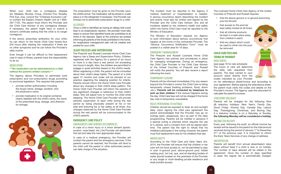When your child has a contagious disease (ex. Measles, Mumps, Croup, Chicken Pox, Rosella, Pink Eye, lice), consult the "Childcare Exclusion List" or contact the Eastern Ontario Health Unit at 1-800- 267-7120. The parent must inform the Provider and the Child Care Advisor of any contagious disease. If necessary, the parent might have to submit a doctor's certificate stating that the child is no longer contagious.

If the doctor prescribes antibiotics for your child, he can return to the Home Child Care twenty-four (24) hours after starting the medication if there are no other symptoms and he can follow the Provider's daily routine.

Even though it can be difficult to find replacement care in case of illness, parents have the responsibility to do so.

#### MEDICATION

#### \*\*\*No medication can be administered to a child without the parent's written consent.\*\*\*

The Agency allows Providers to administer both prescription and non-prescription drugs according to provincial legislation. This requires that parents:

- provide written authorization including the drug's name, dosage, duration, and the physician's name.
- provide medication in its original container, clearly labelled with the child's name, the name of the prescribed drug, dosage, and direction for storage.



The prescription must be given to the Provider upon the child's arrival. The medication will be stored in a safe place or in the refrigerator if necessary. The Provider can choose not to administer prescription drugs to a child.

#### **ALLERGIES**

Once a child is identified as having an allergy that could lead to an anaphylactic reaction, the provider must take steps to ensure that identified foods are prohibited at all times in the daycare. Signs at the entrance are posted informing all parents of the foods prohibited in the home. An anaphylaxis management plan will be created and posted for your child.

#### **SLEEP POLICIES AND SUPERVISION**

The Prescott and Russell Licensed Home Child Care Agency has a Sleep and Supervision Policy. Children registered with the Agency for a period of six hours or more in a day have a rest period not exceeding two hours in length. Also, the children are permitted to engage in quiet activities based on the child's needs. When registering a child, the parent will be consulted about their child's sleep habits. The parent of a child aged 12 months and under will be advised of our practice regarding the sleeping position for infants. Parents should inform the Home Child Care Provider about any changes in their child's sleep pattern. The Home Child Care Provider will inform the parents of any significant changes or behaviour to their child's sleep. She will adjust how to monitor the child while sleeping. The Home Child Care Provider will provide periodic supervision of each child during the rest period by being physically present at his or her side and ensuring his or her safety at all times. Any changes observed by the Home Child Care Provider during the rest period will be communicated to the child's parents.

#### **EMERGENCY CARE POLICY** EMERGENCIES AND SERIOUS OCCURRENCES

In case of a minor injury or a minor ailment (sprain, scratch, nose bleed, etc.) the Provider will administer first aid and take the next appropriate steps.

In case of a medical emergency, the Provider will contact the parent and the emergency services. If the parents cannot be reached, the Provider will tend to the child until the parent or other authorized person can take charge of the situation.

The incident must be reported to the Agency if medical treatment or hospitalisation is needed. A serious occurrence report describing the incident and events must also be written and signed by the Provider and the Child Care Advisor. Any and all incidents related to the children's health and safety within the Home Child Care must be reported to the Ministry of Education.

The Ministry of Education requires our Agency to post information about serious occurrences that happen at the home of the contracted Provider. The "Serious Occurrence Notification Form" must be posted in a visible area for 10 days.

#### EMERGENCY MANAGEMENT

The Prescott and Russell Licensed Home Child Care Agency has policies and procedures in place for managing emergencies. During an emergency, the Child Care Provider or the Child Care Advisor of the United Counties of Prescott and Russell will notify the parents. You will also receive a report following the event.

#### TEMPORARY CLOSURE

Parents will be informed immediately if for any reason beyond the Provider's control the Child Care is being temporarily closed (heating problems, flood, storm ,etc.). Parents will be contacted by telephone to pick up their children if the closure happens during the day. Child Care fees will not be charged if the home day care is temporarily unavailable.

#### RULES PERTAINING TO OUTINGS

Children should be exposed to fresh air and sunlight daily. Upon signing the child care agreement the parent acknowledges that the Provider may go on outings (park, playgroups, etc.) as part of the daily programming. Parents will be notified in advance if a special outing is planned which requires the use of a vehicle, and a consent form will be signed each time. The parent has the right to refuse that his child(ren) participate in the outing; however, the parent must find replacement care for his child(ren) that day.

#### WATER SAFETY

According to the *Child Care and Early Years Act, 2014*, the Provider will ensure that the children in her care will not have access to, nor be permitted to play in a/an in-ground pool, above-ground pool, kiddie wading pool, hot tub, spa, and all standing bodies of water (pond) located on the premises of the Provider or any single or multi-dwelling private residence and shall prohibit access.

The Licensed Home Child Care Agency of the United Counties of Prescott and Russell requires:

- that the above-ground or in-ground swimming pool be fenced;
- that access to the pool be kept safely locked at all times;
- that all chlorine products be kept in a safe place away from children's reach;
- that any object which could be used to climb into the pool be removed.

#### **CHILD CARE FEES AND TERMS OF PAYMENT** DAILY RATES

(see page 18 for rate schedule) The hours of care will determine the daily rate requested from parents. The fees carried to your account result directly from the codes indicated by your Provider

on her attendance sheet/invoice and according to your agreement. Before signing the attendance sheet, the parent must verify the codes and details on the Provider's invoice. The Agency uses this document to calculate the parent's invoices.

#### STATUTORY HOLIDAYS

Parents will be charged for the following Nine (9) statutory holidays: New Year's, Family Day, Good Friday, Victoria Day, Canada Day, Labour Day, Thanksgiving, Christmas, and Boxing Day. If a statutory holiday is on a Saturday or Sunday, the following Monday will be considered a holiday.

#### INCOME TAX RECEIPT

Every year, following the audit, an official income tax receipt will be issued to the parent for the total amount received during the period of January 1<sup>st</sup> to December 31<sup>st</sup> of the previous year. It is important to inform the Early Years Services of any change of address.

#### ABSENTEEISM

Parents will benefit from annual absenteeism days (days without fees) if a child is sick or on holiday. The number of days allowed will be stated in the agreement. Once the number of days specified is used, the regular fee is automatically charged.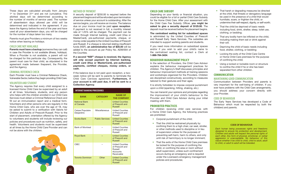#### These days are calculated annually from January  $1<sup>st</sup>$  to December  $31<sup>st</sup>$  and are not cumulative. The allotted days will be determined according to the number of months of service used. The number of absenteeism days allowed per child will be determined and indicated in the agreement. If you leave the Agency before the end of the year and have used all your absenteeism days, you will be charged for the number of days taken too many.

Parents must give Providers a minimum of two weeks notice when leaving on holidays.

#### CHILD CARE NOT AVAILABLE

Parents must have a backup (someone they can call) in case the Provider is not available (illness, holidays). When a Provider is not available, a parent will not be charged for this particular day. Consequently, the parent must care for their child, as stipulated in the agreement made between theparent, the Provider, and the Agency.

#### CRIMINAL REFERENCE CHECK

Each Provider must have a Criminal Reference Check, Vulnerable Sector, before they begin providing Child Care.

#### VOLUNTEER AND STUDENT

The Agency requires that every child assigned to a licensed Home Child Care be supervised by an adult at all times. Volunteers, students, and any person who helps with the children enrolled in our Child Care Services must obtain a Criminal Reference Check and fill out an immunization report and a medical form. Volunteers and other persons who are regularly in the Home Child Care, who are over the age of 18, may be asked to submit to a verification with Valoris for Children and Adults of Prescott-Russell. Prior to the start of placement, orientation offered by the Agency to volunteers and students will include reviewing our policies and procedures such as nutrition, safety, and health. Volunteers and students must be supervised at all times by the Home Child Care Provider and can not be alone with the children.



#### METHOD OF PAYMENT

A security deposit of \$250.00 is required before the placement begins and will be refunded upon termination of service unless your account is outstanding. After the service begins, you will receive an invoice. The balance due on your invoice must be paid upon reception. If payment is not received in full, a monthly interest rate of 1.25% will be charged. The payment can be made through Internet banking, credit card (Visa or MasterCard), pre-authorized payments, cheque, or money order payable to the United Counties of Prescott and Russell. If a cheque is returned stating insufficient funds (NSF), an administrative fee of \$35.00 will be added to the account as per Policy No. ADM/004 of the Counties.

If a second "NSF" cheque is received, the Agency will only accept payment by Internet banking, credit card (Visa or MasterCard), pre-authorized payments, certified cheques, money orders, or cash.

If the balance due is not paid upon reception, a twoweek notice will be sent to parents to terminate the Child Care Cervices agreement. Furthermore, if your account is still past due, it will be sent to a Collection Agency.

| <b>INTERNET BANKING PROCEDURES</b> |                        |                                                                                |  |  |  |  |  |  |  |  |  |  |  |
|------------------------------------|------------------------|--------------------------------------------------------------------------------|--|--|--|--|--|--|--|--|--|--|--|
| <b>BANK</b>                        | <b>CATEGORY</b>        | <b>NAME OF</b><br><b>THE COMPANY</b>                                           |  |  |  |  |  |  |  |  |  |  |  |
| <b>National Bank</b><br>of Canada  |                        | <b>United Counties</b><br>of Prescott and<br>Russell                           |  |  |  |  |  |  |  |  |  |  |  |
| Caisse Populaire<br>Desjardins     | Miscellaneous          | <b>United Counties</b><br>of Prescott and<br>Russell                           |  |  |  |  |  |  |  |  |  |  |  |
| <b>Scotia Bank</b>                 | <b>Public Services</b> | <b>United Counties</b><br>of Prescott and<br><b>Russell</b>                    |  |  |  |  |  |  |  |  |  |  |  |
| <b>Bank of Montreal</b>            |                        | <b>United Counties</b><br>of Prescott and<br>Russell                           |  |  |  |  |  |  |  |  |  |  |  |
| <b>Royal Bank</b>                  |                        | <b>United Counties</b><br>of Prescott and<br><b>Russell</b>                    |  |  |  |  |  |  |  |  |  |  |  |
| CIBC                               |                        | <b>United Counties</b><br>of Prescott and<br>Russell<br>Accounts<br>Receivable |  |  |  |  |  |  |  |  |  |  |  |
| <b>Toronto Dominion</b>            | Other                  | <b>United Counties</b><br>of Prescott and<br><b>Russell</b>                    |  |  |  |  |  |  |  |  |  |  |  |

#### **CHILD CARE SUBSIDY**

Depending on your family or financial situation, you could be eligible for a full or partial Child Care Subsidy for the Home Child Care. After your assessment with the Child Care Fee Subsidy Officer, you might be asked to give a security deposit of \$125.00. The deposit must be received before the placement begins.

The centralized waiting list for subsidized spaces is administed by the United Counties of Prescott and Russell Early Years Services. The subsidies are intended to support working parents and students.

If you need more information on subsidized spaces and/or if you wish to add your child's name to the centralized waiting list, contact a Clerk at 1-866-764-3434.

#### **BEHAVIOUR MANAGEMENT POLICY**

In the selection of Providers, the Child Care Advisor explains the behaviour management practices for children. The Agency's Staff discusses principles and behaviour improvement methods at training sessions and workshops organized for the Providers. Children are disciplined constructively, according to measures tailored to their gestures and their ages.

It is strictly forbidden to impose corporal punishment upon a child (spanking, hitting, shaking, etc.)

You can transmit your opinions and principles regarding the improvement of your child's behaviour to the Provider and Child Care Advisor during your initial meeting with them.

#### **PROHIBITED PRACTICES**

For children receiving child care services with a Home Child Care Agency, the following practices are prohibited:

- Corporal punishment of the child;
- That the child be restrained physically by confining them to a high chair, car seat, stroller, or other methods used to discipline or in lieu of supervision unless for the purposes of preventing self-harm, harm to others, and only until risk of harm/injury is no longer imminent;
- That the exits of the Home Child Care premises be locked for the purpose of confining the child, or confining the area or room without adult supervision, unless such confinement occurs during an emergency and is required under the Licensee's emergency management policies and procedures;
- That harsh or degrading measures be directed at the child, that threats or derogatory language be used in the presence of a child that would humiliate, scare, or frighten the child, or undermine their self-respect, dignity, or self-worth;
- That the child be deprived of basic needs including food, drink, shelter, sleep, toilet use, clothing, or bedding;
- That any bodily harm be inflicted on the child, including making them eat or drink against their will.
- Depriving the child of basic needs including food, shelter, clothing, or bedding;
- Locking the exits of the Child Care Centre or Home Child Care premises for the purpose of confining the child;
- Using a locked or lockable room or structure to confine the child if he or she has been separated from other children.

#### **COMMUNICATION**

#### MAINTAINING GOOD COMMUNICATION

Communication between Providers and parents is very important for the well-being of children. If you ever have problems with the Child Care arrangements, you should address your concern directly with your Provider.

#### CODE OF BEHAVIOUR

The Early Years Services has developed a Code of Behaviour which must be respected by both the child(ren) and parents.

#### **CODE OF BEHAVIOUR**

*Each human being possesses rights and freedoms designed to ensure his protection and development. Children and adults will respect the personal rights of each other. Any form of physical, emotional, or verbal aggression is unacceptable. No behaviour of this nature whether it be child to child, child to adult, adult to child, or adult to adult will be tolerated.*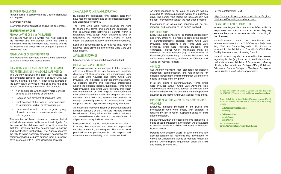#### BREACH OF REGULATIONS

Anyone failing to comply with the Code of Behaviour will be given:

1. a verbal warning;

2. a verbal and written notice ending the agreement.

#### **TERMINATION OF CARE**

#### REMOVAL OF THE CHILD BY THE PARENTS

The parent must give a written two-week notice to the Provider and the Agency when the child is withdrawn from the Provider's care. Parents who do not observe this policy will be charged a period of two weeks' care.

#### TERMINATION OF CARE BY THE PROVIDER

The Provider can terminate the child care agreement by giving a written two-weeks' notice.

#### TERMINATION OF THE AGREEMENT BY THE PRESCOTT AND RUSSELL LICENSED HOME CHILD CARE AGENCY

The Agency reserves the right to terminate the agreement for service of care of a child, for whatever reason, if in their opinion, it is not in the interests of the Early Years Services or the child that the child remain under the Agency's care. For example:

- Non compliance with the Early Years Services policies by the parents or child(ren);
- Repeated non payment of child care fees:
- Contravention of the Code of Behaviour (such as intimidation, verbal, or physical abuse);
- Harassment towards a person or group by way of words or repeated, vexatious, or abusive acts or gestures.

The intention of these policies is to ensure that all individuals are treated with respect and dignity. For the sake of the children's well being, it is essential that the Providers and the parents have a positive and constructive relationship. The Agency reserves the right to refuse placement for care if it deems that the parent's or legal guardian's actions (past or present) have interfered with a Home Child Care Provider.

#### SIGNATURE OF POLICIES AND REGULATIONS

By signing the application form, parents state they have read the regulations and policies described above and undertake to comply.

The Home Child Care Agency reserves the right to change the terms and conditions contained in this document after notifying all parents within a reasonable time, except when changes to laws or regulations are required by the Ministry. In such cases, the standard to follow is effective immediately.

Keep this document handy so that you may refer to it as your child grows up in the Home Child Care you have chosen.

#### AVAILABLE RESOURCES

http://www.edu.gov.on.ca/childcare/index.html

#### PARENT ISSUES AND CONCERNS

Parents/guardians are encouraged to take an active role in our Home Child Care Agency and regularly discuss what their child(ren) are experiencing with our Child Care Advisors and Home Child Care Providers. As indicated in our program statement, we support positive and responsive interactions among the children, parents/guardians, Home Child Care Providers, and Child Care Advisors, and foster the engagement of and ongoing communication with parents/quardians about the program and their children. Our Child Care Advisors are available to engage parents/guardians in conversations and support a positive experience during every interaction.

All issues and concerns raised by parents/guardians are taken seriously by the Child Care Advisors and will be addressed. Every effort will be made to address and resolve issues and concerns to the satisfaction of all parties and as quickly as possible.

Issues/concerns may be brought forward verbally or in writing. Responses and outcomes will be provided verbally, or in writing upon request. The level of detail provided to the parent/guardian will respect and maintain the confidentiality of all parties involved.

An initial response to an issue or concern will be provided to parents/guardians within five business days. The person who raised the issue/concern will be kept informed throughout the resolution process.

Investigations of issues and concerns will be fair, impartial, and respectful to the parties involved.

#### CONFIDENTIALITY

Every issue and concern will be treated confidentially and every effort will be made to protect the privacy of parents/guardians, children, Home Child Care Providers, other persons in the Home Child Care premises, Child Care Advisors, students, and volunteers, except when information must be disclosed for legal reasons (e.g. to the Ministry of Education, College of Early Childhood Educators, law enforcement authorities, or Valoris for Children and Adults of Prescott-Russell).

#### CONDUCT

Our Agency maintains high standards for positive interaction, communication, and role modeling for children. Harassment and discrimination will therefore not be tolerated from any party.

If at any point a parent/guardian, Home Child Care Provider, and/or Child Care Advisors feels uncomfortable, threatened, abused, or belittled, they may immediately end the conversation and report the situation to the Home Child Care Agency head office.

#### CONCERNS ABOUT THE SUSPECTED ABUSE OR NEGLECT OF A CHILD

Everyone, including members of the public and professionals who work closely with children, is required by law to report suspected cases of child abuse or neglect.

If a parent/guardian expresses concerns that a child is being abused or neglected, the parent will be advised to contact Valoris for Children and Adults of Prescott-Russell directly.

Persons who become aware of such concerns are also responsible for reporting this information to Valoris for Children and Adults of Prescott-Russell as per the "Duty to Report" requirement under the Child and Family Services Act.

For more information, visit

http://www.children.gov.on.ca/htdocs/English/ childrensaid/reportingabuse/index.aspx

#### ESCALATION OF ISSUES OR CONCERNS

Where parents/guardians are not satisfied with the response or outcome of an issue or concern, they may escalate the issue or concern verbally or in writing to the Licensee.

Issues/concerns related to compliance with requirements set out in the *Child Care and Early Years Act, 2014*, and *Ontario Regulation 137/15* must be reported to the Ministry of Education's Child Care Quality Assurance and Licensing Branch.

Issues/concerns may also be reported to other relevant regulatory bodies (e.g. local public health department, police department, Ministry of Environment, Ministry of Labour, fire department, College of Early Childhood Educators, Ontario College of Teachers, College of Social Workers, etc.), where appropriate.

> To reach the Ministry of Education, Licensed Child Care Help Desk, dial **1 877 510-5333** or send an email to **childcare\_ontario@ontario.ca**.

> To reach the Early Years Services of the United Counties of Prescott and Russell, dial our toll free the **1-866-764-3434** to speak to one of the following contacts:

**· Early Years Services Supervisor** Danika Joly

**· Child Care Advisors** Sonia Laflamme Angèle Clairoux

You can also send an email to **ServicesALaPetiteEnfance@prescott-russell.on.ca**.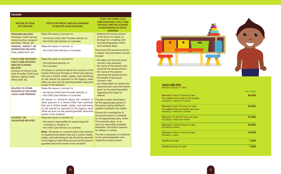| <b>PROCEDURE</b>                                                                                                                                                                                                                                                                                                                                            |                                                                                                                                                                                                                                                                                                                                                                                                                                                                                                                                                                                                                                                                                                                                                                                                                                                                                                                                                                                                                                                                                                                                                                |                                                                                                                                                                                                                                                                                                                                                                                                                                                                                                                                                                                                                                                                                                                                                                                                                                         |
|-------------------------------------------------------------------------------------------------------------------------------------------------------------------------------------------------------------------------------------------------------------------------------------------------------------------------------------------------------------|----------------------------------------------------------------------------------------------------------------------------------------------------------------------------------------------------------------------------------------------------------------------------------------------------------------------------------------------------------------------------------------------------------------------------------------------------------------------------------------------------------------------------------------------------------------------------------------------------------------------------------------------------------------------------------------------------------------------------------------------------------------------------------------------------------------------------------------------------------------------------------------------------------------------------------------------------------------------------------------------------------------------------------------------------------------------------------------------------------------------------------------------------------------|-----------------------------------------------------------------------------------------------------------------------------------------------------------------------------------------------------------------------------------------------------------------------------------------------------------------------------------------------------------------------------------------------------------------------------------------------------------------------------------------------------------------------------------------------------------------------------------------------------------------------------------------------------------------------------------------------------------------------------------------------------------------------------------------------------------------------------------------|
| <b>NATURE OF ISSUE</b><br><b>OR CONCERN</b>                                                                                                                                                                                                                                                                                                                 | <b>STEPS FOR PARENT AND/OR GUARDIAN</b><br><b>TO REPORT ISSUE/CONCERN</b>                                                                                                                                                                                                                                                                                                                                                                                                                                                                                                                                                                                                                                                                                                                                                                                                                                                                                                                                                                                                                                                                                      | <b>STEPS FOR HOME CHILD</b><br><b>CARE PROVIDER, CHILD CARE</b><br><b>ADVISOR, AND/OR LICENSEE</b><br>IN RESPONDING TO ISSUE/<br><b>CONCERN</b>                                                                                                                                                                                                                                                                                                                                                                                                                                                                                                                                                                                                                                                                                         |
| <b>PROGRAM-RELATED</b><br>Schedule, toilet training,<br>indoor/outdoor program<br>activities, menus, etc.<br><b>GENERAL, AGENCY-OR</b><br><b>OPERATIONS-RELATED</b><br>Fees, placement, etc.                                                                                                                                                                | Raise the issue or concern to<br>- the Home Child Care Provider directly; or<br>- the Child Care Advisor or Licensee.<br>Raise the issue or concern to<br>- the Child Care Advisor or Licensee.                                                                                                                                                                                                                                                                                                                                                                                                                                                                                                                                                                                                                                                                                                                                                                                                                                                                                                                                                                | - Address the issue/concern<br>at the time it is raised; or<br>- Arrange for a meeting with<br>the parent/guardian within<br>five business days.<br>Document the issues/concerns<br>in detail. Documentation should<br>include:                                                                                                                                                                                                                                                                                                                                                                                                                                                                                                                                                                                                         |
| <b>CHILD CARE PROVIDER-,</b><br><b>CHILD CARE ADVISOR-,</b><br><b>AND/OR LICENSEE-</b><br><b>RELATED</b><br><b>Conduct of Home Child</b><br>Care Provider, Child Care<br>Advisor, Agency head<br>office staff, etc.<br><b>RELATED TO OTHER</b><br><b>PERSONS AT THE HOME</b><br><b>CHILD CARE PREMISES</b><br><b>STUDENT-OR</b><br><b>VOLUNTEER-RELATED</b> | Raise the issue or concern to<br>- the individual directly; or<br>- the Licensee.<br>All issues or concerns about the conduct of the<br>Home Child Care Provider or Child Care Advisor<br>that put a child's health, safety, and well-being<br>at risk should be reported to the Agency head<br>office as soon as the parent/guardian becomes<br>aware of the situation.<br>Raise the issue or concern to<br>- the Home Child Care Provider directly; or<br>- the Child Care Advisor or Licensee.<br>All issues or concerns about the conduct of<br>other persons in a Home Child Care premises<br>that put a child's health, safety, and well-being<br>at risk should be reported to the Agency head<br>office as soon as the parent/guardian becomes<br>aware of the situation.<br>Raise the issue or concern to<br>- the person responsible for supervising the<br>volunteer or student; or<br>- the Child Care Advisor or Licensee.<br><b>Note:</b> All issues or concerns about the conduct<br>of students/volunteers that put a child's health,<br>safety, and well-being at risk should be reported<br>to the Agency head office as soon as the parent/ | - the date and time the issue/<br>concern was received:<br>- the name of the person who<br>received the issue/concern:<br>- the name of the person<br>reporting the issue/concern;<br>- the details of the issue/<br>concern; and<br>- any steps taken to resolve the<br>issue/concern and information<br>given to the parent/guardian<br>regarding next steps or<br>referral.<br>Provide contact information<br>for the appropriate person if<br>the person being notified is<br>unable to address the matter.<br>Ensure the investigation of<br>the issue/concern is initiated<br>by the appropriate party within<br>five business days, or as<br>soon as reasonably possible<br>thereafter. Document reasons<br>for delays in writing.<br>Provide a resolution or outcome<br>to the parent/guardian who<br>raised the issue/concern. |



## **CHILD CARE FEES**<br>Effective January 1<sup>st</sup> 2022

|                                                                                                         | <b>Per Child</b> |
|---------------------------------------------------------------------------------------------------------|------------------|
| Between 5 and 10 hours of care<br>For children from birth to 24 months<br>Including 1 meal and 2 snacks | 36.00\$          |
| Between 5 and 10 hours of care<br>For children from 24 months and over<br>Including 1 meal and 2 snacks | 34.50\$          |
| Between 15 and 22 hours of care<br><b>Including 3 meals and snacks</b>                                  | 57.00\$          |
| Between 2 and 5 hours of care<br>Including 2 snacks                                                     | 23.50\$          |
| Between 0 and 2 hours of care<br>Including 1 snack                                                      | 19.50\$          |
| <b>Additional meal</b>                                                                                  | 7.00\$           |
| Additional hour of care                                                                                 | 7.50\$           |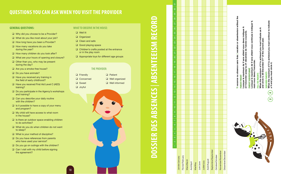## **QUESTIONS YOU CAN ASK WHEN YOU VISIT THE PROVIDER**

18 18

#### **GENERAL QUESTIONS:**

- □ Why did you choose to be a Provider?
- □ What do you like most about your job?
- $\Box$  How long have you been a Provider?
- $\Box$  How many vacations do you take during the year?
- $\Box$  How many children do you look after?
- □ What are your hours of opening and closure?
- $\Box$  Other than you, who may be present during the day?
- □ Are you a smoke-free house?
- $\Box$  Do you have animals?
- $\Box$  Have you received any training in the field of early childhood?
- □ Have you received First Aid Level C (AED) training?
- D Do you participate in the Agency's workshops and training?
- $\Box$  Can you describe your daily routine with the children?
- $\Box$  Is it possible to have a copy of your menu and program?
- □ My child will have access to what room in the house?
- $\Box$  Is there an outdoor space enabling children to do activities?
- $\Box$  What do you do when children do not want to sleep?
- □ What is your method of discipline?
- $\Box$  Do you have references from parents who have used your service?
- Do you go on outings with the children?
- $\Box$  Can I visit with my child before signing the agreement?

#### WHAT TO OBSERVE IN THE HOUSE:

- **Q** Well lit
- Organized
- $\Box$  Clean and safe
- Good playing space
- Children's crafts posted at the entrance or in the play room
- Appropriate toys for different age groups

#### THE PROVIDER:

| $\Box$ Friendly | $\Box$ Patient        |
|-----------------|-----------------------|
| Q Concerned     | $\Box$ Well organized |
| <b>□</b> Sweet  | $\Box$ Well informed  |
| $\Box$ Joyful   |                       |



## 2 3 4 5 6 7 8 9 10 11 12 13 14 15 16 17 18 19 20 21 22 23 24 25 26 27 28 29 30 31 or absenteeism without fee **V:** vacance ou absence sans frais | vacation or absenteeism without fee Lorsque le maximum de V sera atteint vous devez indiquer A  $\blacktriangleleft$ Lorsque le maximum de V sera atteint vous devez indiquer<br>et l'encercler jusqu'au 31 décembre de l'année courante. et l'encercler jusqu'au 31 décembre de l'année courante. sans frais | vacation l': vacance ou absence **PARENT PAYANT PARENT PAYANT**  $\mathbf{r}$ Septembre/September Septembre/September Novembre/November Novembre/November Décembre/December Décembre/December Octobre/October Octobre/October Février/February Février/February Janvier/January Janvier/January **Mars/March** Août/August Août/August Mars/March Juillet/July Avril/April Juin/June Juillet/July Mai/May Juin/June

**DOSSIER DES ABSENCES** | **ABSENTEEISM RECORD**

DOSSIER DES ABSENCES | ABSENTEEISM RECORI



Lorsque le maximum de V sera atteint vous continuez à indiquer V, à indiquer sera atteint vous continuez PARENT SUBVENTIONNÉ<br>Lorsque le maximum de V se<br>mais vous devez l'encercler. **PARENT SUBVENTIONNÉ**

>

⋖ mais vous devez l'encercler. **FULL FEE PARENTS**

When the maximum of V is achieved you must indicate an A F<mark>ULL FEE PARENTS</mark><br>When the maximum of V is achieved you must indicate an<br>and circle it, till December 31<sup>st</sup> of the current year. and circle it, till December 31st of the current year.

**SUBSIDED PARENTS** When the maximum of V is achieved you must continue to indicate

mum of V is achieved you must continue to indicate<br>ist circle it. a V and you must circle it. SUBSIDED PARENTS<br>When the maximu<br>a V and you must

**A**

 $\geq$